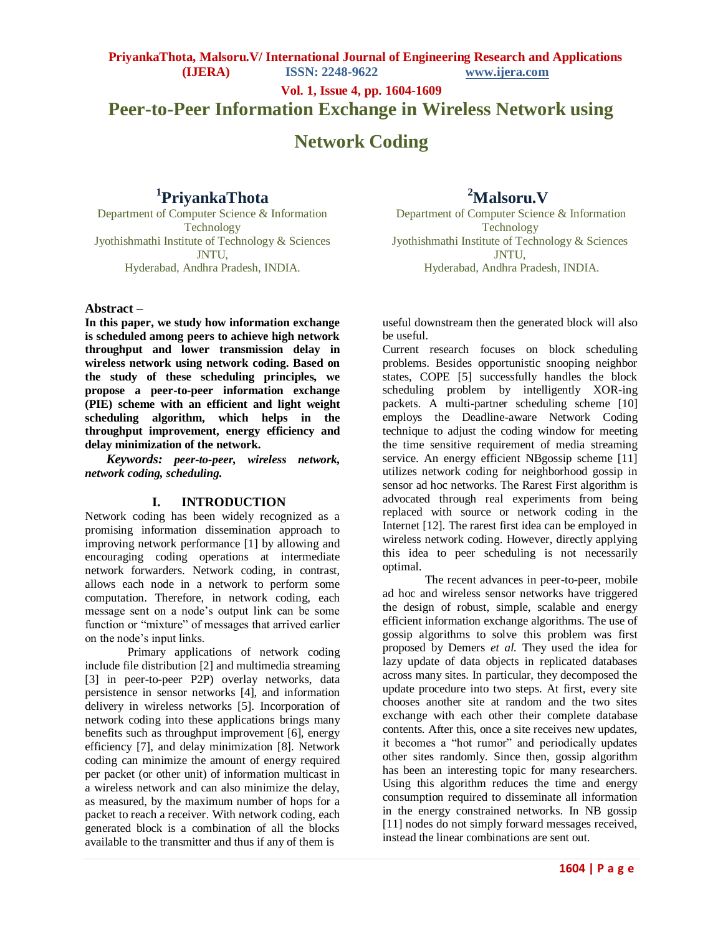**Vol. 1, Issue 4, pp. 1604-1609**

# **Peer-to-Peer Information Exchange in Wireless Network using**

# **Network Coding**

# **1 PriyankaThota**

**<sup>2</sup>Malsoru.V**

Department of Computer Science & Information Technology Jyothishmathi Institute of Technology & Sciences JNTU, Hyderabad, Andhra Pradesh, INDIA.

Department of Computer Science & Information **Technology** Jyothishmathi Institute of Technology & Sciences JNTU, Hyderabad, Andhra Pradesh, INDIA.

#### **Abstract –**

**In this paper, we study how information exchange is scheduled among peers to achieve high network throughput and lower transmission delay in wireless network using network coding. Based on the study of these scheduling principles, we propose a peer-to-peer information exchange (PIE) scheme with an efficient and light weight scheduling algorithm, which helps in the throughput improvement, energy efficiency and delay minimization of the network.** 

*Keywords: peer-to-peer, wireless network, network coding, scheduling.*

#### **I. INTRODUCTION**

Network coding has been widely recognized as a promising information dissemination approach to improving network performance [1] by allowing and encouraging coding operations at intermediate network forwarders. Network coding, in contrast, allows each node in a network to perform some computation. Therefore, in network coding, each message sent on a node's output link can be some function or "mixture" of messages that arrived earlier on the node's input links.

Primary applications of network coding include file distribution [2] and multimedia streaming [3] in peer-to-peer P2P) overlay networks, data persistence in sensor networks [4], and information delivery in wireless networks [5]. Incorporation of network coding into these applications brings many benefits such as throughput improvement [6], energy efficiency [7], and delay minimization [8]. Network coding can minimize the amount of energy required per packet (or other unit) of information multicast in a wireless network and can also minimize the delay, as measured, by the maximum number of hops for a packet to reach a receiver. With network coding, each generated block is a combination of all the blocks available to the transmitter and thus if any of them is

useful downstream then the generated block will also be useful.

Current research focuses on block scheduling problems. Besides opportunistic snooping neighbor states, COPE [5] successfully handles the block scheduling problem by intelligently XOR-ing packets. A multi-partner scheduling scheme [10] employs the Deadline-aware Network Coding technique to adjust the coding window for meeting the time sensitive requirement of media streaming service. An energy efficient NBgossip scheme [11] utilizes network coding for neighborhood gossip in sensor ad hoc networks. The Rarest First algorithm is advocated through real experiments from being replaced with source or network coding in the Internet [12]. The rarest first idea can be employed in wireless network coding. However, directly applying this idea to peer scheduling is not necessarily optimal.

The recent advances in peer-to-peer, mobile ad hoc and wireless sensor networks have triggered the design of robust, simple, scalable and energy efficient information exchange algorithms. The use of gossip algorithms to solve this problem was first proposed by Demers *et al.* They used the idea for lazy update of data objects in replicated databases across many sites. In particular, they decomposed the update procedure into two steps. At first, every site chooses another site at random and the two sites exchange with each other their complete database contents. After this, once a site receives new updates, it becomes a "hot rumor" and periodically updates other sites randomly. Since then, gossip algorithm has been an interesting topic for many researchers. Using this algorithm reduces the time and energy consumption required to disseminate all information in the energy constrained networks. In NB gossip [11] nodes do not simply forward messages received, instead the linear combinations are sent out.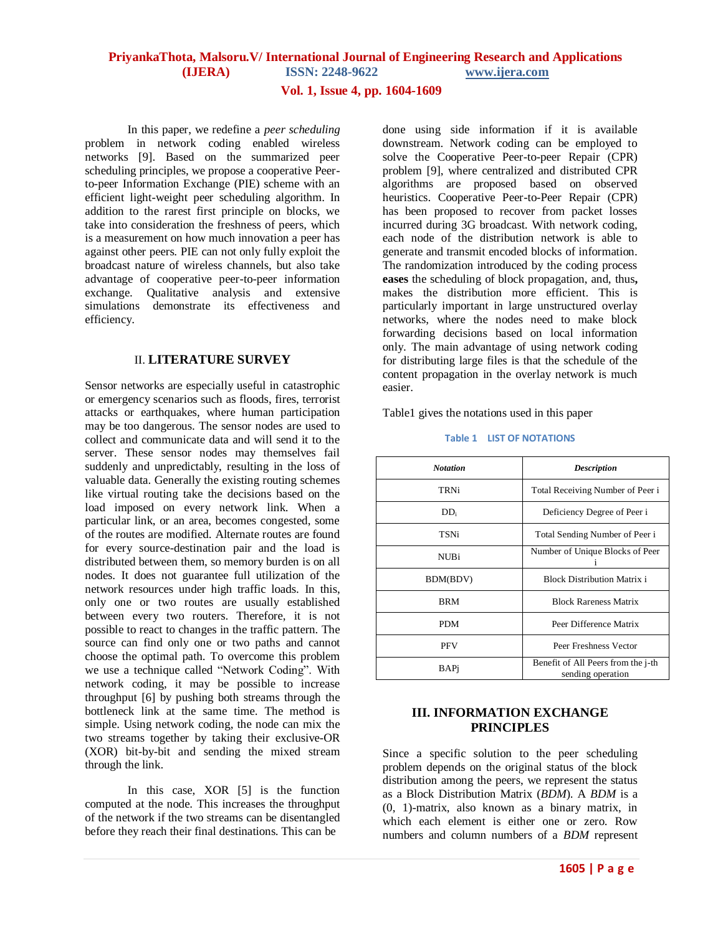#### **Vol. 1, Issue 4, pp. 1604-1609**

In this paper, we redefine a *peer scheduling*  problem in network coding enabled wireless networks [9]. Based on the summarized peer scheduling principles, we propose a cooperative Peerto-peer Information Exchange (PIE) scheme with an efficient light-weight peer scheduling algorithm. In addition to the rarest first principle on blocks, we take into consideration the freshness of peers, which is a measurement on how much innovation a peer has against other peers. PIE can not only fully exploit the broadcast nature of wireless channels, but also take advantage of cooperative peer-to-peer information exchange. Qualitative analysis and extensive simulations demonstrate its effectiveness and efficiency.

#### II. **LITERATURE SURVEY**

Sensor networks are especially useful in catastrophic or emergency scenarios such as floods, fires, terrorist attacks or earthquakes, where human participation may be too dangerous. The sensor nodes are used to collect and communicate data and will send it to the server. These sensor nodes may themselves fail suddenly and unpredictably, resulting in the loss of valuable data. Generally the existing routing schemes like virtual routing take the decisions based on the load imposed on every network link. When a particular link, or an area, becomes congested, some of the routes are modified. Alternate routes are found for every source-destination pair and the load is distributed between them, so memory burden is on all nodes. It does not guarantee full utilization of the network resources under high traffic loads. In this, only one or two routes are usually established between every two routers. Therefore, it is not possible to react to changes in the traffic pattern. The source can find only one or two paths and cannot choose the optimal path. To overcome this problem we use a technique called "Network Coding". With network coding, it may be possible to increase throughput [6] by pushing both streams through the bottleneck link at the same time. The method is simple. Using network coding, the node can mix the two streams together by taking their exclusive-OR (XOR) bit-by-bit and sending the mixed stream through the link.

In this case, XOR [5] is the function computed at the node. This increases the throughput of the network if the two streams can be disentangled before they reach their final destinations. This can be

done using side information if it is available downstream. Network coding can be employed to solve the Cooperative Peer-to-peer Repair (CPR) problem [9], where centralized and distributed CPR algorithms are proposed based on observed heuristics. Cooperative Peer-to-Peer Repair (CPR) has been proposed to recover from packet losses incurred during 3G broadcast. With network coding, each node of the distribution network is able to generate and transmit encoded blocks of information. The randomization introduced by the coding process **eases** the scheduling of block propagation, and, thus**,**  makes the distribution more efficient. This is particularly important in large unstructured overlay networks, where the nodes need to make block forwarding decisions based on local information only. The main advantage of using network coding for distributing large files is that the schedule of the content propagation in the overlay network is much easier.

Table1 gives the notations used in this paper

| <b>Notation</b> | <b>Description</b>                                      |  |
|-----------------|---------------------------------------------------------|--|
| TRNi            | Total Receiving Number of Peer i                        |  |
| $DD_i$          | Deficiency Degree of Peer i                             |  |
| TSNi            | Total Sending Number of Peer i                          |  |
| <b>NUBi</b>     | Number of Unique Blocks of Peer                         |  |
| BDM(BDV)        | <b>Block Distribution Matrix i</b>                      |  |
| BRM             | <b>Block Rareness Matrix</b>                            |  |
| PDM             | Peer Difference Matrix                                  |  |
| <b>PFV</b>      | Peer Freshness Vector                                   |  |
| BAPi            | Benefit of All Peers from the j-th<br>sending operation |  |

#### **Table 1 LIST OF NOTATIONS**

#### **III. INFORMATION EXCHANGE PRINCIPLES**

Since a specific solution to the peer scheduling problem depends on the original status of the block distribution among the peers, we represent the status as a Block Distribution Matrix (*BDM*). A *BDM* is a (0, 1)-matrix, also known as a binary matrix, in which each element is either one or zero. Row numbers and column numbers of a *BDM* represent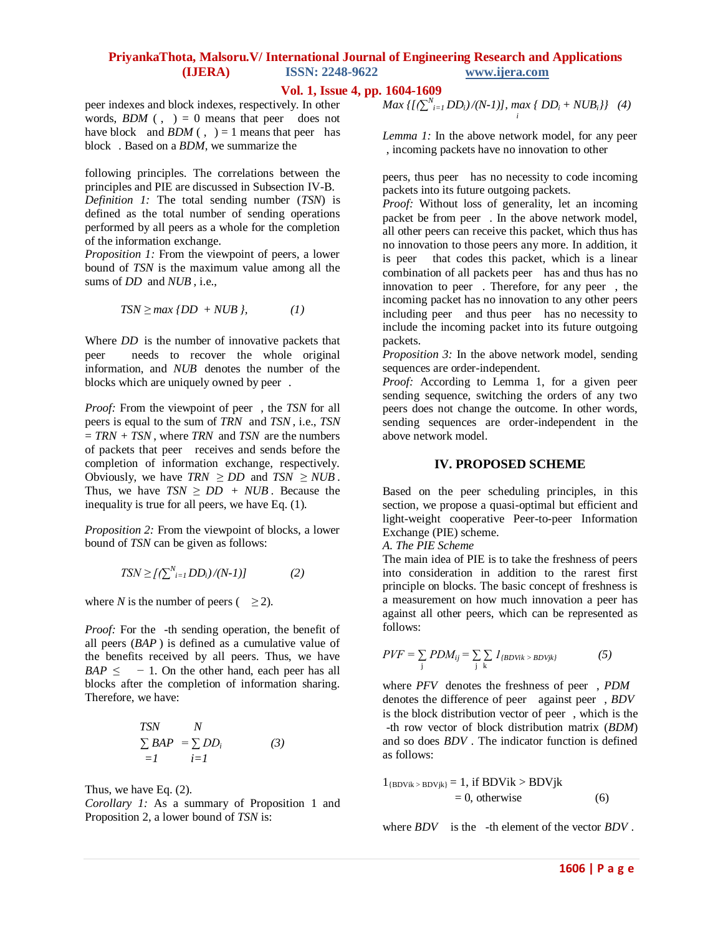#### **Vol. 1, Issue 4, pp. 1604-1609**

peer indexes and block indexes, respectively. In other words,  $BDM$  (, ) = 0 means that peer does not have block and  $BDM$  (, ) = 1 means that peer has block . Based on a *BDM*, we summarize the

following principles. The correlations between the principles and PIE are discussed in Subsection IV-B. *Definition 1:* The total sending number (*TSN*) is defined as the total number of sending operations performed by all peers as a whole for the completion of the information exchange.

*Proposition 1:* From the viewpoint of peers, a lower bound of *TSN* is the maximum value among all the sums of *DD* and *NUB* , i.e.,

$$
TSN \ge \max \{DD + NUB\},\tag{1}
$$

Where *DD* is the number of innovative packets that peer needs to recover the whole original information, and *NUB* denotes the number of the blocks which are uniquely owned by peer .

*Proof:* From the viewpoint of peer , the *TSN* for all peers is equal to the sum of *TRN* and *TSN* , i.e., *TSN*  = *TRN* + *TSN* , where *TRN* and *TSN* are the numbers of packets that peer receives and sends before the completion of information exchange, respectively. Obviously, we have  $TRN \geq DD$  and  $TSN \geq NUB$ . Thus, we have  $TSN \geq DD + NUB$ . Because the inequality is true for all peers, we have Eq. (1).

*Proposition 2:* From the viewpoint of blocks, a lower bound of *TSN* can be given as follows:

$$
TSN \geq \left[ \left( \sum_{i=1}^{N} DD_i \right) / (N-1) \right] \tag{2}
$$

where *N* is the number of peers ( $\geq$ 2).

*Proof:* For the -th sending operation, the benefit of all peers (*BAP* ) is defined as a cumulative value of the benefits received by all peers. Thus, we have  $BAP \le -1$ . On the other hand, each peer has all blocks after the completion of information sharing. Therefore, we have:

$$
\begin{array}{ll}\nTSN & N \\
\sum BAP & = \sum DD_i \\
=I & i=I\n\end{array} \tag{3}
$$

Thus, we have Eq. (2).

*Corollary 1:* As a summary of Proposition 1 and Proposition 2, a lower bound of *TSN* is:

$$
Max \{ [\sum_{i=1}^{N} DD_i)/(N-1) ], \max_{i} \{ DD_i + NUB_i \} \} (4)
$$

*Lemma 1:* In the above network model, for any peer , incoming packets have no innovation to other

peers, thus peer has no necessity to code incoming packets into its future outgoing packets.

*Proof:* Without loss of generality, let an incoming packet be from peer . In the above network model, all other peers can receive this packet, which thus has no innovation to those peers any more. In addition, it is peer that codes this packet, which is a linear combination of all packets peer has and thus has no innovation to peer . Therefore, for any peer , the incoming packet has no innovation to any other peers including peer and thus peer has no necessity to include the incoming packet into its future outgoing packets.

*Proposition 3:* In the above network model, sending sequences are order-independent.

*Proof:* According to Lemma 1, for a given peer sending sequence, switching the orders of any two peers does not change the outcome. In other words, sending sequences are order-independent in the above network model.

#### **IV. PROPOSED SCHEME**

Based on the peer scheduling principles, in this section, we propose a quasi-optimal but efficient and light-weight cooperative Peer-to-peer Information Exchange (PIE) scheme.

*A. The PIE Scheme*

The main idea of PIE is to take the freshness of peers into consideration in addition to the rarest first principle on blocks. The basic concept of freshness is a measurement on how much innovation a peer has against all other peers, which can be represented as follows:

$$
PVF = \sum_{j} PDM_{ij} = \sum_{j} \sum_{k} I_{\{BDVik \ & \text{BDVjk}\}} \tag{5}
$$

where *PFV* denotes the freshness of peer , *PDM* denotes the difference of peer against peer , *BDV* is the block distribution vector of peer , which is the -th row vector of block distribution matrix (*BDM*) and so does *BDV* . The indicator function is defined as follows:

$$
1_{\{BDVik > BDVjk\}} = 1, \text{ if } BDVik > BDVjk
$$
  
= 0, otherwise (6)

where *BDV* is the -th element of the vector *BDV* .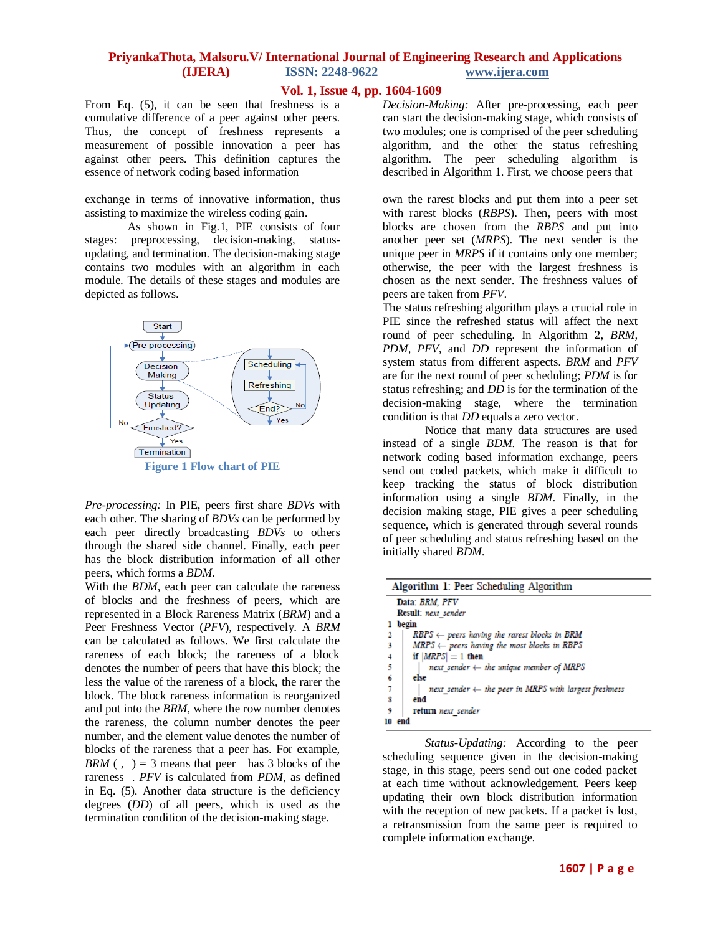#### **Vol. 1, Issue 4, pp. 1604-1609**

From Eq. (5), it can be seen that freshness is a cumulative difference of a peer against other peers. Thus, the concept of freshness represents a measurement of possible innovation a peer has against other peers. This definition captures the essence of network coding based information

exchange in terms of innovative information, thus assisting to maximize the wireless coding gain.

As shown in Fig.1, PIE consists of four stages: preprocessing, decision-making, statusupdating, and termination. The decision-making stage contains two modules with an algorithm in each module. The details of these stages and modules are depicted as follows.



*Pre-processing:* In PIE, peers first share *BDVs* with each other. The sharing of *BDVs* can be performed by each peer directly broadcasting *BDVs* to others through the shared side channel. Finally, each peer has the block distribution information of all other peers, which forms a *BDM*.

With the *BDM*, each peer can calculate the rareness of blocks and the freshness of peers, which are represented in a Block Rareness Matrix (*BRM*) and a Peer Freshness Vector (*PFV*), respectively. A *BRM*  can be calculated as follows. We first calculate the rareness of each block; the rareness of a block denotes the number of peers that have this block; the less the value of the rareness of a block, the rarer the block. The block rareness information is reorganized and put into the *BRM*, where the row number denotes the rareness, the column number denotes the peer number, and the element value denotes the number of blocks of the rareness that a peer has. For example, *BRM* (, ) = 3 means that peer has 3 blocks of the rareness . *PFV* is calculated from *PDM*, as defined in Eq. (5). Another data structure is the deficiency degrees (*DD*) of all peers, which is used as the termination condition of the decision-making stage.

*Decision-Making:* After pre-processing, each peer can start the decision-making stage, which consists of two modules; one is comprised of the peer scheduling algorithm, and the other the status refreshing algorithm. The peer scheduling algorithm is described in Algorithm 1. First, we choose peers that

own the rarest blocks and put them into a peer set with rarest blocks (*RBPS*). Then, peers with most blocks are chosen from the *RBPS* and put into another peer set (*MRPS*). The next sender is the unique peer in *MRPS* if it contains only one member; otherwise, the peer with the largest freshness is chosen as the next sender. The freshness values of peers are taken from *PFV*.

The status refreshing algorithm plays a crucial role in PIE since the refreshed status will affect the next round of peer scheduling. In Algorithm 2, *BRM, PDM, PFV,* and *DD* represent the information of system status from different aspects. *BRM* and *PFV*  are for the next round of peer scheduling; *PDM* is for status refreshing; and *DD* is for the termination of the decision-making stage, where the termination condition is that *DD* equals a zero vector.

Notice that many data structures are used instead of a single *BDM*. The reason is that for network coding based information exchange, peers send out coded packets, which make it difficult to keep tracking the status of block distribution information using a single *BDM*. Finally, in the decision making stage, PIE gives a peer scheduling sequence, which is generated through several rounds of peer scheduling and status refreshing based on the initially shared *BDM*.

| Algorithm 1: Peer Scheduling Algorithm |                                                                  |  |  |
|----------------------------------------|------------------------------------------------------------------|--|--|
|                                        | Data: BRM, PFV                                                   |  |  |
| Result: next sender                    |                                                                  |  |  |
| begin                                  |                                                                  |  |  |
|                                        | $RBPS \leftarrow peters$ having the rarest blocks in BRM         |  |  |
| 3                                      | $MRPS \leftarrow peters having the most blocks in RBPS$          |  |  |
|                                        | if $ MRPS  = 1$ then                                             |  |  |
| $\frac{4}{5}$                          | next sender $\leftarrow$ the unique member of MRPS               |  |  |
| 6                                      | else                                                             |  |  |
| 7                                      | next sender $\leftarrow$ the peer in MRPS with largest freshness |  |  |
| 8                                      | end                                                              |  |  |
| ٩                                      | return next sender                                               |  |  |
| 10                                     | end                                                              |  |  |

*Status-Updating:* According to the peer scheduling sequence given in the decision-making stage, in this stage, peers send out one coded packet at each time without acknowledgement. Peers keep updating their own block distribution information with the reception of new packets. If a packet is lost, a retransmission from the same peer is required to complete information exchange.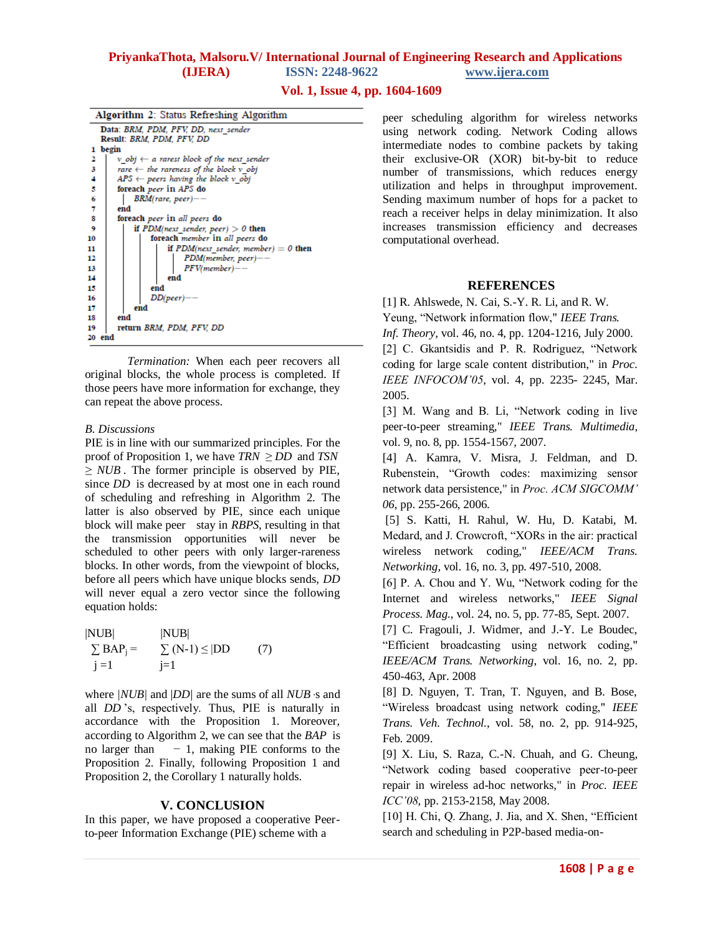#### **Vol. 1, Issue 4, pp. 1604-1609**

| Algorithm 2: Status Refreshing Algorithm |                                                        |  |  |  |  |
|------------------------------------------|--------------------------------------------------------|--|--|--|--|
|                                          | Data: BRM, PDM, PFV, DD, next sender                   |  |  |  |  |
|                                          | Result: BRM, PDM, PFV, DD                              |  |  |  |  |
| 1                                        | begin                                                  |  |  |  |  |
| 2                                        | $v$ obj $\leftarrow$ a rarest block of the next sender |  |  |  |  |
| 3                                        | rare $\leftarrow$ the rareness of the block $v$ obj    |  |  |  |  |
| 4                                        | $APS \leftarrow peers$ having the block v obj          |  |  |  |  |
| 5                                        | foreach peer in APS do                                 |  |  |  |  |
| 6                                        | $BRM(rare, peer)$ --                                   |  |  |  |  |
| 7                                        | end                                                    |  |  |  |  |
| 8                                        | foreach <i>peer</i> in all <i>peers</i> do             |  |  |  |  |
| 9                                        | if $PDM(next \; sender, peer) > 0$ then                |  |  |  |  |
| 10                                       | foreach member in all peers do                         |  |  |  |  |
| 11                                       | if $PDM(next \; sender, \; member) = 0$ then           |  |  |  |  |
| 12                                       | PDM(member, peer)-                                     |  |  |  |  |
| 13                                       | $PFV(member)$ --                                       |  |  |  |  |
| 14                                       | end                                                    |  |  |  |  |
| 15                                       | end                                                    |  |  |  |  |
| 16                                       | $DD(peer)$ --                                          |  |  |  |  |
| 17                                       | end                                                    |  |  |  |  |
| 18                                       | end                                                    |  |  |  |  |
| 19                                       | return BRM, PDM, PFV, DD                               |  |  |  |  |
| 20                                       | end                                                    |  |  |  |  |
|                                          |                                                        |  |  |  |  |

*Termination:* When each peer recovers all original blocks, the whole process is completed. If those peers have more information for exchange, they can repeat the above process.

#### *B. Discussions*

PIE is in line with our summarized principles. For the proof of Proposition 1, we have *TRN ≥ DD* and *TSN*  $\geq NUB$ . The former principle is observed by PIE, since *DD* is decreased by at most one in each round of scheduling and refreshing in Algorithm 2. The latter is also observed by PIE, since each unique block will make peer stay in *RBPS*, resulting in that the transmission opportunities will never be scheduled to other peers with only larger-rareness blocks. In other words, from the viewpoint of blocks, before all peers which have unique blocks sends, *DD*  will never equal a zero vector since the following equation holds:

| NUB                       | NUB                     |     |
|---------------------------|-------------------------|-----|
| $\sum$ BAP <sub>i</sub> = | $\sum$ (N-1) $\leq$  DD | (7) |
| $j=1$                     | $j=1$                   |     |

where *|NUB|* and |*DD|* are the sums of all *NUB* 's and all *DD* 's, respectively. Thus, PIE is naturally in accordance with the Proposition 1. Moreover, according to Algorithm 2, we can see that the *BAP* is no larger than *−* 1, making PIE conforms to the Proposition 2. Finally, following Proposition 1 and Proposition 2, the Corollary 1 naturally holds.

#### **V. CONCLUSION**

In this paper, we have proposed a cooperative Peerto-peer Information Exchange (PIE) scheme with a

peer scheduling algorithm for wireless networks using network coding. Network Coding allows intermediate nodes to combine packets by taking their exclusive-OR (XOR) bit-by-bit to reduce number of transmissions, which reduces energy utilization and helps in throughput improvement. Sending maximum number of hops for a packet to reach a receiver helps in delay minimization. It also increases transmission efficiency and decreases computational overhead.

#### **REFERENCES**

[1] R. Ahlswede, N. Cai, S.-Y. R. Li, and R. W.

Yeung, "Network information flow," *IEEE Trans.* 

*Inf. Theory*, vol. 46, no. 4, pp. 1204-1216, July 2000.

[2] C. Gkantsidis and P. R. Rodriguez, "Network coding for large scale content distribution," in *Proc. IEEE INFOCOM'05*, vol. 4, pp. 2235- 2245, Mar. 2005.

[3] M. Wang and B. Li, "Network coding in live peer-to-peer streaming," *IEEE Trans. Multimedia*, vol. 9, no. 8, pp. 1554-1567, 2007.

[4] A. Kamra, V. Misra, J. Feldman, and D. Rubenstein, "Growth codes: maximizing sensor network data persistence," in *Proc. ACM SIGCOMM' 06*, pp. 255-266, 2006.

[5] S. Katti, H. Rahul, W. Hu, D. Katabi, M. Medard, and J. Crowcroft, "XORs in the air: practical wireless network coding," *IEEE/ACM Trans. Networking*, vol. 16, no. 3, pp. 497-510, 2008.

[6] P. A. Chou and Y. Wu, "Network coding for the Internet and wireless networks," *IEEE Signal Process. Mag.*, vol. 24, no. 5, pp. 77-85, Sept. 2007.

[7] C. Fragouli, J. Widmer, and J.-Y. Le Boudec, "Efficient broadcasting using network coding," *IEEE/ACM Trans. Networking*, vol. 16, no. 2, pp. 450-463, Apr. 2008

[8] D. Nguyen, T. Tran, T. Nguyen, and B. Bose, "Wireless broadcast using network coding," *IEEE Trans. Veh. Technol.*, vol. 58, no. 2, pp. 914-925, Feb. 2009.

[9] X. Liu, S. Raza, C.-N. Chuah, and G. Cheung, "Network coding based cooperative peer-to-peer repair in wireless ad-hoc networks," in *Proc. IEEE ICC'08*, pp. 2153-2158, May 2008.

[10] H. Chi, Q. Zhang, J. Jia, and X. Shen, "Efficient search and scheduling in P2P-based media-on-